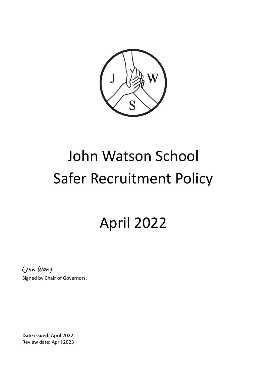

# John Watson School Safer Recruitment Policy

# April 2022

Lynn Wong

Signed by Chair of Governors.

**Date issued:** April 2022 Review date: April 2023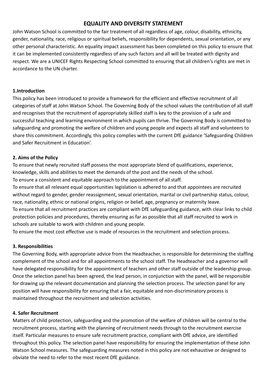# **EQUALITY AND DIVERSITY STATEMENT**

John Watson School is committed to the fair treatment of all regardless of age, colour, disability, ethnicity, gender, nationality, race, religious or spiritual beliefs, responsibility for dependents, sexual orientation, or any other personal characteristic. An equality impact assessment has been completed on this policy to ensure that it can be implemented consistently regardless of any such factors and all will be treated with dignity and respect. We are a UNICEF Rights Respecting School committed to ensuring that all children's rights are met in accordance to the UN charter.

#### **1.Introduction**

This policy has been introduced to provide a framework for the efficient and effective recruitment of all categories of staff at John Watson School. The Governing Body of the school values the contribution of all staff and recognises that the recruitment of appropriately skilled staff is key to the provision of a safe and successful teaching and learning environment in which pupils can thrive. The Governing Body is committed to safeguarding and promoting the welfare of children and young people and expects all staff and volunteers to share this commitment. Accordingly, this policy complies with the current DfE guidance 'Safeguarding Children and Safer Recruitment in Education'.

# **2. Aims of the Policy**

To ensure that newly recruited staff possess the most appropriate blend of qualifications, experience, knowledge, skills and abilities to meet the demands of the post and the needs of the school. To ensure a consistent and equitable approach to the appointment of all staff.

To ensure that all relevant equal opportunities legislation is adhered to and that appointees are recruited without regard to gender, gender reassignment, sexual orientation, marital or civil partnership status, colour, race, nationality, ethnic or national origins, religion or belief, age, pregnancy or maternity leave. To ensure that all recruitment practices are compliant with DfE safeguarding guidance, with clear links to child protection policies and procedures, thereby ensuring as far as possible that all staff recruited to work in schools are suitable to work with children and young people.

To ensure the most cost effective use is made of resources in the recruitment and selection process.

#### **3. Responsibilities**

The Governing Body, with appropriate advice from the Headteacher, is responsible for determining the staffing complement of the school and for all appointments to the school staff. The Headteacher and a governor will have delegated responsibility for the appointment of teachers and other staff outside of the leadership group. Once the selection panel has been agreed, the lead person, in conjunction with the panel, will be responsible for drawing up the relevant documentation and planning the selection process. The selection panel for any position will have responsibility for ensuring that a fair, equitable and non-discriminatory process is maintained throughout the recruitment and selection activities.

#### **4. Safer Recruitment**

Matters of child protection, safeguarding and the promotion of the welfare of children will be central to the recruitment process, starting with the planning of recruitment needs through to the recruitment exercise itself. Particular measures to ensure safe recruitment practice, compliant with DfE advice, are identified throughout this policy. The selection panel have responsibility for ensuring the implementation of these John Watson School measures. The safeguarding measures noted in this policy are not exhaustive or designed to obviate the need to refer to the most recent DfE guidance.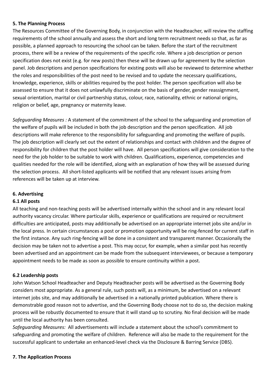#### **5. The Planning Process**

The Resources Committee of the Governing Body, in conjunction with the Headteacher, will review the staffing requirements of the school annually and assess the short and long term recruitment needs so that, as far as possible, a planned approach to resourcing the school can be taken. Before the start of the recruitment process, there will be a review of the requirements of the specific role. Where a job description or person specification does not exist (e.g. for new posts) then these will be drawn up for agreement by the selection panel. Job descriptions and person specifications for existing posts will also be reviewed to determine whether the roles and responsibilities of the post need to be revised and to update the necessary qualifications, knowledge, experience, skills or abilities required by the post holder. The person specification will also be assessed to ensure that it does not unlawfully discriminate on the basis of gender, gender reassignment, sexual orientation, marital or civil partnership status, colour, race, nationality, ethnic or national origins, religion or belief, age, pregnancy or maternity leave.

*Safeguarding Measures :* A statement of the commitment of the school to the safeguarding and promotion of the welfare of pupils will be included in both the job description and the person specification. All job descriptions will make reference to the responsibility for safeguarding and promoting the welfare of pupils. The job description will clearly set out the extent of relationships and contact with children and the degree of responsibility for children that the post holder will have. All person specifications will give consideration to the need for the job holder to be suitable to work with children. Qualifications, experience, competencies and qualities needed for the role will be identified, along with an explanation of how they will be assessed during the selection process. All short-listed applicants will be notified that any relevant issues arising from references will be taken up at interview.

#### **6. Advertising**

#### **6.1 All posts**

All teaching and non-teaching posts will be advertised internally within the school and in any relevant local authority vacancy circular. Where particular skills, experience or qualifications are required or recruitment difficulties are anticipated, posts may additionally be advertised on an appropriate internet jobs site and/or in the local press. In certain circumstances a post or promotion opportunity will be ring-fenced for current staff in the first instance. Any such ring-fencing will be done in a consistent and transparent manner. Occasionally the decision may be taken not to advertise a post. This may occur, for example, when a similar post has recently been advertised and an appointment can be made from the subsequent interviewees, or because a temporary appointment needs to be made as soon as possible to ensure continuity within a post.

#### **6.2 Leadership posts**

John Watson School Headteacher and Deputy Headteacher posts will be advertised as the Governing Body considers most appropriate. As a general rule, such posts will, as a minimum, be advertised on a relevant internet jobs site, and may additionally be advertised in a nationally printed publication. Where there is demonstrable good reason not to advertise, and the Governing Body choose not to do so, the decision making process will be robustly documented to ensure that it will stand up to scrutiny. No final decision will be made until the local authority has been consulted.

*Safeguarding Measures:* All advertisements will include a statement about the school's commitment to safeguarding and promoting the welfare of children. Reference will also be made to the requirement for the successful applicant to undertake an enhanced-level check via the Disclosure & Barring Service (DBS).

#### **7. The Application Process**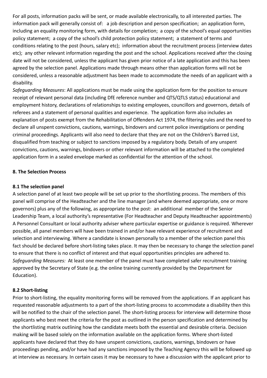For all posts, information packs will be sent, or made available electronically, to all interested parties. The information pack will generally consist of: a job description and person specification; an application form, including an equality monitoring form, with details for completion; a copy of the school's equal opportunities policy statement; a copy of the school's child protection policy statement; a statement of terms and conditions relating to the post (hours, salary etc); information about the recruitment process (interview dates etc); any other relevant information regarding the post and the school. Applications received after the closing date will not be considered, unless the applicant has given prior notice of a late application and this has been agreed by the selection panel. Applications made through means other than application forms will not be considered, unless a reasonable adjustment has been made to accommodate the needs of an applicant with a disability.

*Safeguarding Measures*: All applications must be made using the application form for the position to ensure receipt of relevant personal data (including DfE reference number and QTS/QTLS status) educational and employment history, declarations of relationships to existing employees, councillors and governors, details of referees and a statement of personal qualities and experience. The application form also includes an explanation of posts exempt from the Rehabilitation of Offenders Act 1974, the filtering rules and the need to declare all unspent convictions, cautions, warnings, bindovers and current police investigations or pending criminal proceedings. Applicants will also need to declare that they are not on the Children's Barred List, disqualified from teaching or subject to sanctions imposed by a regulatory body. Details of any unspent convictions, cautions, warnings, bindovers or other relevant information will be attached to the completed application form in a sealed envelope marked as confidential for the attention of the school.

#### **8. The Selection Process**

#### **8.1 The selection panel**

A selection panel of at least two people will be set up prior to the shortlisting process. The members of this panel will comprise of the Headteacher and the line manager (and where deemed appropriate, one or more governors) plus any of the following, as appropriate to the post: an additional member of the Senior Leadership Team, a local authority's representative (For Headteacher and Deputy Headteacher appointments) A Personnel Consultant or local authority adviser where particular expertise or guidance is required. Wherever possible, all panel members will have been trained in and/or have relevant experience of recruitment and selection and interviewing. Where a candidate is known personally to a member of the selection panel this fact should be declared before short-listing takes place. It may then be necessary to change the selection panel to ensure that there is no conflict of interest and that equal opportunities principles are adhered to. *Safeguarding Measures:* At least one member of the panel must have completed safer recruitment training approved by the Secretary of State (e.g. the online training currently provided by the Department for Education).

#### **8.2 Short-listing**

Prior to short-listing, the equality monitoring forms will be removed from the applications. If an applicant has requested reasonable adjustments to a part of the short-listing process to accommodate a disability then this will be notified to the chair of the selection panel. The short-listing process for interview will determine those applicants who best meet the criteria for the post as outlined in the person specification and determined by the shortlisting matrix outlining how the candidate meets both the essential and desirable criteria. Decision making will be based solely on the information available on the application forms. Where short-listed applicants have declared that they do have unspent convictions, cautions, warnings, bindovers or have proceedings pending, and/or have had any sanctions imposed by the Teaching Agency this will be followed up at interview as necessary. In certain cases it may be necessary to have a discussion with the applicant prior to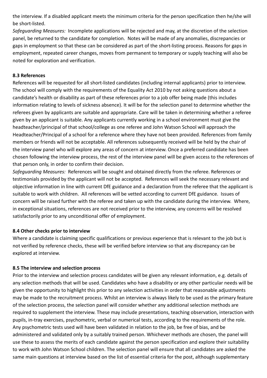the interview. If a disabled applicant meets the minimum criteria for the person specification then he/she will be short-listed.

*Safeguarding Measures:* Incomplete applications will be rejected and may, at the discretion of the selection panel, be returned to the candidate for completion. Notes will be made of any anomalies, discrepancies or gaps in employment so that these can be considered as part of the short-listing process. Reasons for gaps in employment, repeated career changes, moves from permanent to temporary or supply teaching will also be noted for exploration and verification.

#### **8.3 References**

References will be requested for all short-listed candidates (including internal applicants) prior to interview. The school will comply with the requirements of the Equality Act 2010 by not asking questions about a candidate's health or disability as part of these references prior to a job offer being made (this includes information relating to levels of sickness absence). It will be for the selection panel to determine whether the referees given by applicants are suitable and appropriate. Care will be taken in determining whether a referee given by an applicant is suitable. Any applicants currently working in a school environment must give the headteacher/principal of that school/college as one referee and John Watson School will approach the Headteacher/Principal of a school for a reference where they have not been provided. References from family members or friends will not be acceptable. All references subsequently received will be held by the chair of the interview panel who will explore any areas of concern at interview. Once a preferred candidate has been chosen following the interview process, the rest of the interview panel will be given access to the references of that person only, in order to confirm their decision.

*Safeguarding Measures:* References will be sought and obtained directly from the referee. References or testimonials provided by the applicant will not be accepted. References will seek the necessary relevant and objective information in line with current DfE guidance and a declaration from the referee that the applicant is suitable to work with children. All references will be vetted according to current DfE guidance. Issues of concern will be raised further with the referee and taken up with the candidate during the interview. Where, in exceptional situations, references are not received prior to the interview, any concerns will be resolved satisfactorily prior to any unconditional offer of employment.

#### **8.4 Other checks prior to interview**

Where a candidate is claiming specific qualifications or previous experience that is relevant to the job but is not verified by reference checks, these will be verified before interview so that any discrepancy can be explored at interview.

#### **8.5 The interview and selection process**

Prior to the interview and selection process candidates will be given any relevant information, e.g. details of any selection methods that will be used. Candidates who have a disability or any other particular needs will be given the opportunity to highlight this prior to any selection activities in order that reasonable adjustments may be made to the recruitment process. Whilst an interview is always likely to be used as the primary feature of the selection process, the selection panel will consider whether any additional selection methods are required to supplement the interview. These may include presentations, teaching observation, interaction with pupils, in-tray exercises, psychometric, verbal or numerical tests, according to the requirements of the role. Any psychometric tests used will have been validated in relation to the job, be free of bias, and be administered and validated only by a suitably trained person. Whichever methods are chosen, the panel will use these to assess the merits of each candidate against the person specification and explore their suitability to work with John Watson School children. The selection panel will ensure that all candidates are asked the same main questions at interview based on the list of essential criteria for the post, although supplementary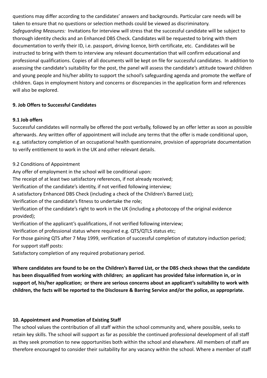questions may differ according to the candidates' answers and backgrounds. Particular care needs will be taken to ensure that no questions or selection methods could be viewed as discriminatory. *Safeguarding Measures:* Invitations for interview will stress that the successful candidate will be subject to thorough identity checks and an Enhanced DBS Check. Candidates will be requested to bring with them documentation to verify their ID, i.e. passport, driving licence, birth certificate, etc. Candidates will be instructed to bring with them to interview any relevant documentation that will confirm educational and professional qualifications. Copies of all documents will be kept on file for successful candidates. In addition to assessing the candidate's suitability for the post, the panel will assess the candidate's attitude toward children and young people and his/her ability to support the school's safeguarding agenda and promote the welfare of children. Gaps in employment history and concerns or discrepancies in the application form and references will also be explored.

# **9. Job Offers to Successful Candidates**

#### **9.1 Job offers**

Successful candidates will normally be offered the post verbally, followed by an offer letter as soon as possible afterwards. Any written offer of appointment will include any terms that the offer is made conditional upon, e.g. satisfactory completion of an occupational health questionnaire, provision of appropriate documentation to verify entitlement to work in the UK and other relevant details.

# 9.2 Conditions of Appointment

Any offer of employment in the school will be conditional upon: The receipt of at least two satisfactory references, if not already received; Verification of the candidate's identity, if not verified following interview; A satisfactory Enhanced DBS Check (including a check of the Children's Barred List); Verification of the candidate's fitness to undertake the role; Verification of the candidate's right to work in the UK (including a photocopy of the original evidence provided); Verification of the applicant's qualifications, if not verified following interview; Verification of professional status where required e.g. QTS/QTLS status etc; For those gaining QTS after 7 May 1999, verification of successful completion of statutory induction period; For support staff posts:

Satisfactory completion of any required probationary period.

**Where candidates are found to be on the Children's Barred List, or the DBS check shows that the candidate has been disqualified from working with children; an applicant has provided false information in, or in support of, his/her application; or there are serious concerns about an applicant's suitability to work with children, the facts will be reported to the Disclosure & Barring Service and/or the police, as appropriate.**

# **10. Appointment and Promotion of Existing Staff**

The school values the contribution of all staff within the school community and, where possible, seeks to retain key skills. The school will support as far as possible the continued professional development of all staff as they seek promotion to new opportunities both within the school and elsewhere. All members of staff are therefore encouraged to consider their suitability for any vacancy within the school. Where a member of staff